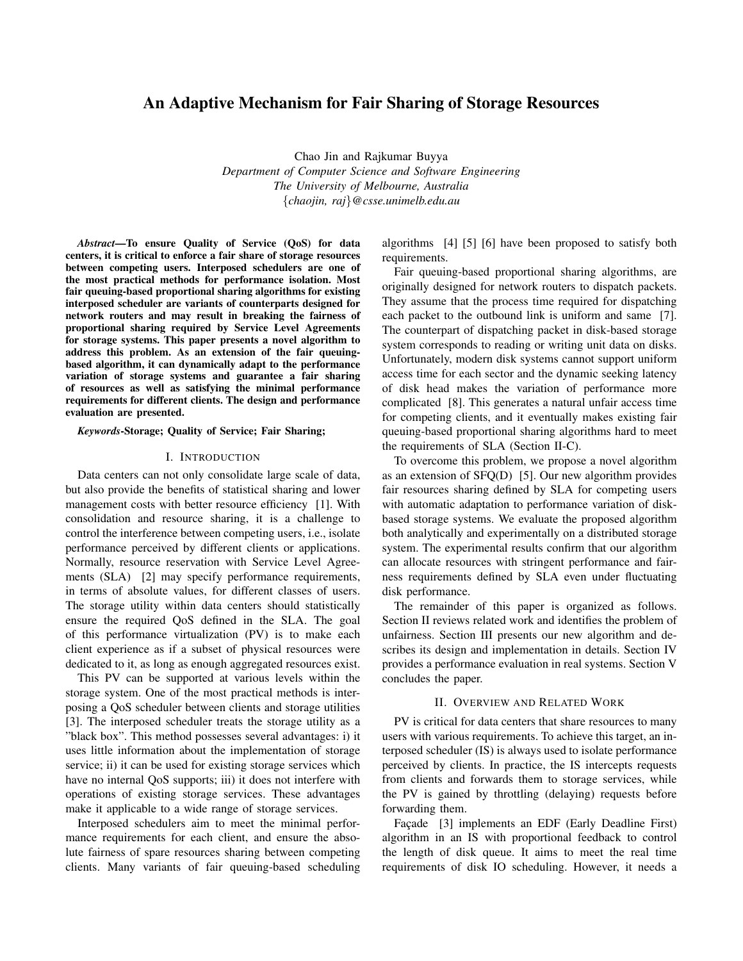# An Adaptive Mechanism for Fair Sharing of Storage Resources

Chao Jin and Rajkumar Buyya *Department of Computer Science and Software Engineering The University of Melbourne, Australia* {*chaojin, raj*}*@csse.unimelb.edu.au*

*Abstract*—To ensure Quality of Service (QoS) for data centers, it is critical to enforce a fair share of storage resources between competing users. Interposed schedulers are one of the most practical methods for performance isolation. Most fair queuing-based proportional sharing algorithms for existing interposed scheduler are variants of counterparts designed for network routers and may result in breaking the fairness of proportional sharing required by Service Level Agreements for storage systems. This paper presents a novel algorithm to address this problem. As an extension of the fair queuingbased algorithm, it can dynamically adapt to the performance variation of storage systems and guarantee a fair sharing of resources as well as satisfying the minimal performance requirements for different clients. The design and performance evaluation are presented.

#### *Keywords*-Storage; Quality of Service; Fair Sharing;

#### I. INTRODUCTION

Data centers can not only consolidate large scale of data, but also provide the benefits of statistical sharing and lower management costs with better resource efficiency [1]. With consolidation and resource sharing, it is a challenge to control the interference between competing users, i.e., isolate performance perceived by different clients or applications. Normally, resource reservation with Service Level Agreements (SLA) [2] may specify performance requirements, in terms of absolute values, for different classes of users. The storage utility within data centers should statistically ensure the required QoS defined in the SLA. The goal of this performance virtualization (PV) is to make each client experience as if a subset of physical resources were dedicated to it, as long as enough aggregated resources exist.

This PV can be supported at various levels within the storage system. One of the most practical methods is interposing a QoS scheduler between clients and storage utilities [3]. The interposed scheduler treats the storage utility as a "black box". This method possesses several advantages: i) it uses little information about the implementation of storage service; ii) it can be used for existing storage services which have no internal QoS supports; iii) it does not interfere with operations of existing storage services. These advantages make it applicable to a wide range of storage services.

Interposed schedulers aim to meet the minimal performance requirements for each client, and ensure the absolute fairness of spare resources sharing between competing clients. Many variants of fair queuing-based scheduling algorithms [4] [5] [6] have been proposed to satisfy both requirements.

Fair queuing-based proportional sharing algorithms, are originally designed for network routers to dispatch packets. They assume that the process time required for dispatching each packet to the outbound link is uniform and same [7]. The counterpart of dispatching packet in disk-based storage system corresponds to reading or writing unit data on disks. Unfortunately, modern disk systems cannot support uniform access time for each sector and the dynamic seeking latency of disk head makes the variation of performance more complicated [8]. This generates a natural unfair access time for competing clients, and it eventually makes existing fair queuing-based proportional sharing algorithms hard to meet the requirements of SLA (Section II-C).

To overcome this problem, we propose a novel algorithm as an extension of SFQ(D) [5]. Our new algorithm provides fair resources sharing defined by SLA for competing users with automatic adaptation to performance variation of diskbased storage systems. We evaluate the proposed algorithm both analytically and experimentally on a distributed storage system. The experimental results confirm that our algorithm can allocate resources with stringent performance and fairness requirements defined by SLA even under fluctuating disk performance.

The remainder of this paper is organized as follows. Section II reviews related work and identifies the problem of unfairness. Section III presents our new algorithm and describes its design and implementation in details. Section IV provides a performance evaluation in real systems. Section V concludes the paper.

# II. OVERVIEW AND RELATED WORK

PV is critical for data centers that share resources to many users with various requirements. To achieve this target, an interposed scheduler (IS) is always used to isolate performance perceived by clients. In practice, the IS intercepts requests from clients and forwards them to storage services, while the PV is gained by throttling (delaying) requests before forwarding them.

Façade [3] implements an EDF (Early Deadline First) algorithm in an IS with proportional feedback to control the length of disk queue. It aims to meet the real time requirements of disk IO scheduling. However, it needs a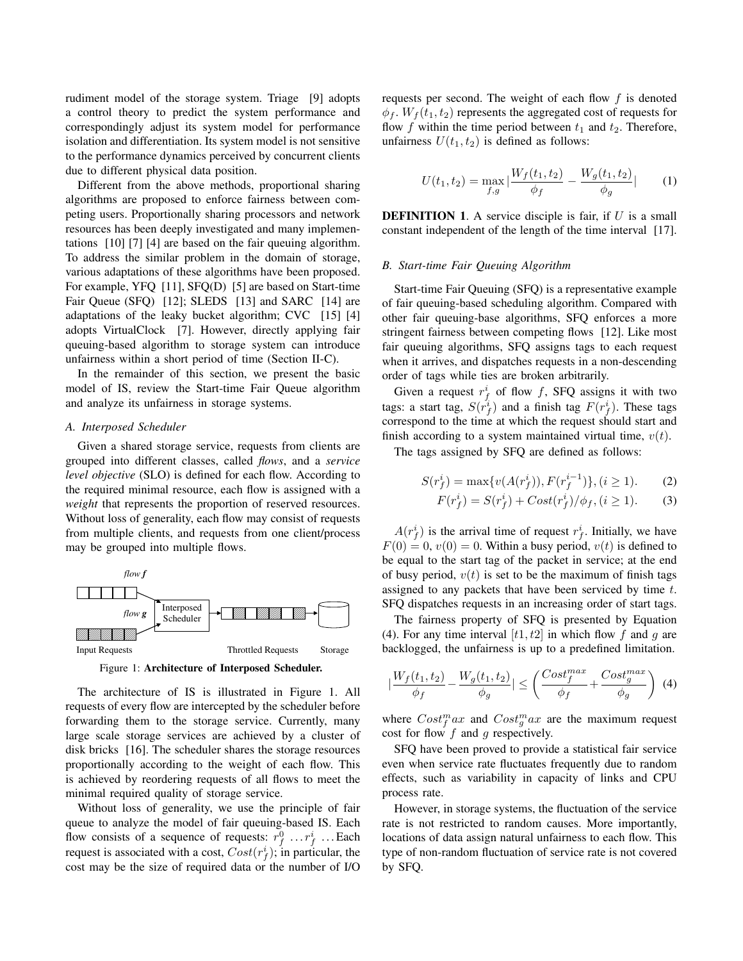rudiment model of the storage system. Triage [9] adopts a control theory to predict the system performance and correspondingly adjust its system model for performance isolation and differentiation. Its system model is not sensitive to the performance dynamics perceived by concurrent clients due to different physical data position.

Different from the above methods, proportional sharing algorithms are proposed to enforce fairness between competing users. Proportionally sharing processors and network resources has been deeply investigated and many implementations [10] [7] [4] are based on the fair queuing algorithm. To address the similar problem in the domain of storage, various adaptations of these algorithms have been proposed. For example, YFQ [11], SFQ(D) [5] are based on Start-time Fair Queue (SFQ) [12]; SLEDS [13] and SARC [14] are adaptations of the leaky bucket algorithm; CVC [15] [4] adopts VirtualClock [7]. However, directly applying fair queuing-based algorithm to storage system can introduce unfairness within a short period of time (Section II-C).

In the remainder of this section, we present the basic model of IS, review the Start-time Fair Queue algorithm and analyze its unfairness in storage systems.

### *A. Interposed Scheduler*

Given a shared storage service, requests from clients are grouped into different classes, called *flows*, and a *service level objective* (SLO) is defined for each flow. According to the required minimal resource, each flow is assigned with a *weight* that represents the proportion of reserved resources. Without loss of generality, each flow may consist of requests from multiple clients, and requests from one client/process may be grouped into multiple flows.



Figure 1: Architecture of Interposed Scheduler.

The architecture of IS is illustrated in Figure 1. All requests of every flow are intercepted by the scheduler before forwarding them to the storage service. Currently, many large scale storage services are achieved by a cluster of disk bricks [16]. The scheduler shares the storage resources proportionally according to the weight of each flow. This is achieved by reordering requests of all flows to meet the minimal required quality of storage service.

Without loss of generality, we use the principle of fair queue to analyze the model of fair queuing-based IS. Each flow consists of a sequence of requests:  $r_f^0 \dots r_f^i \dots$  Each request is associated with a cost,  $Cost(r_f^i)$ ; in particular, the cost may be the size of required data or the number of I/O requests per second. The weight of each flow  $f$  is denoted  $\phi_f$ .  $W_f(t_1, t_2)$  represents the aggregated cost of requests for flow f within the time period between  $t_1$  and  $t_2$ . Therefore, unfairness  $U(t_1, t_2)$  is defined as follows:

$$
U(t_1, t_2) = \max_{f, g} |\frac{W_f(t_1, t_2)}{\phi_f} - \frac{W_g(t_1, t_2)}{\phi_g}| \qquad (1)
$$

**DEFINITION 1.** A service disciple is fair, if  $U$  is a small constant independent of the length of the time interval [17].

### *B. Start-time Fair Queuing Algorithm*

Start-time Fair Queuing (SFQ) is a representative example of fair queuing-based scheduling algorithm. Compared with other fair queuing-base algorithms, SFQ enforces a more stringent fairness between competing flows [12]. Like most fair queuing algorithms, SFQ assigns tags to each request when it arrives, and dispatches requests in a non-descending order of tags while ties are broken arbitrarily.

Given a request  $r_f^i$  of flow f, SFQ assigns it with two tags: a start tag,  $S(r_f^i)$  and a finish tag  $F(r_f^i)$ . These tags correspond to the time at which the request should start and finish according to a system maintained virtual time,  $v(t)$ .

The tags assigned by SFQ are defined as follows:

$$
S(r_f^i) = \max\{v(A(r_f^i)), F(r_f^{i-1})\}, (i \ge 1). \tag{2}
$$

$$
F(r_f^i) = S(r_f^i) + Cost(r_f^i) / \phi_f, (i \ge 1).
$$
 (3)

 $A(r_f^i)$  is the arrival time of request  $r_f^i$ . Initially, we have  $F(0) = 0$ ,  $v(0) = 0$ . Within a busy period,  $v(t)$  is defined to be equal to the start tag of the packet in service; at the end of busy period,  $v(t)$  is set to be the maximum of finish tags assigned to any packets that have been serviced by time t. SFQ dispatches requests in an increasing order of start tags.

The fairness property of SFQ is presented by Equation (4). For any time interval  $[t1, t2]$  in which flow f and q are backlogged, the unfairness is up to a predefined limitation.

$$
|\frac{W_f(t_1, t_2)}{\phi_f} - \frac{W_g(t_1, t_2)}{\phi_g}| \le \left(\frac{Cost_f^{max}}{\phi_f} + \frac{Cost_g^{max}}{\phi_g}\right) (4)
$$

where  $Cost_f^m a x$  and  $Cost_g^m a x$  are the maximum request cost for flow  $f$  and  $g$  respectively.

SFQ have been proved to provide a statistical fair service even when service rate fluctuates frequently due to random effects, such as variability in capacity of links and CPU process rate.

However, in storage systems, the fluctuation of the service rate is not restricted to random causes. More importantly, locations of data assign natural unfairness to each flow. This type of non-random fluctuation of service rate is not covered by SFQ.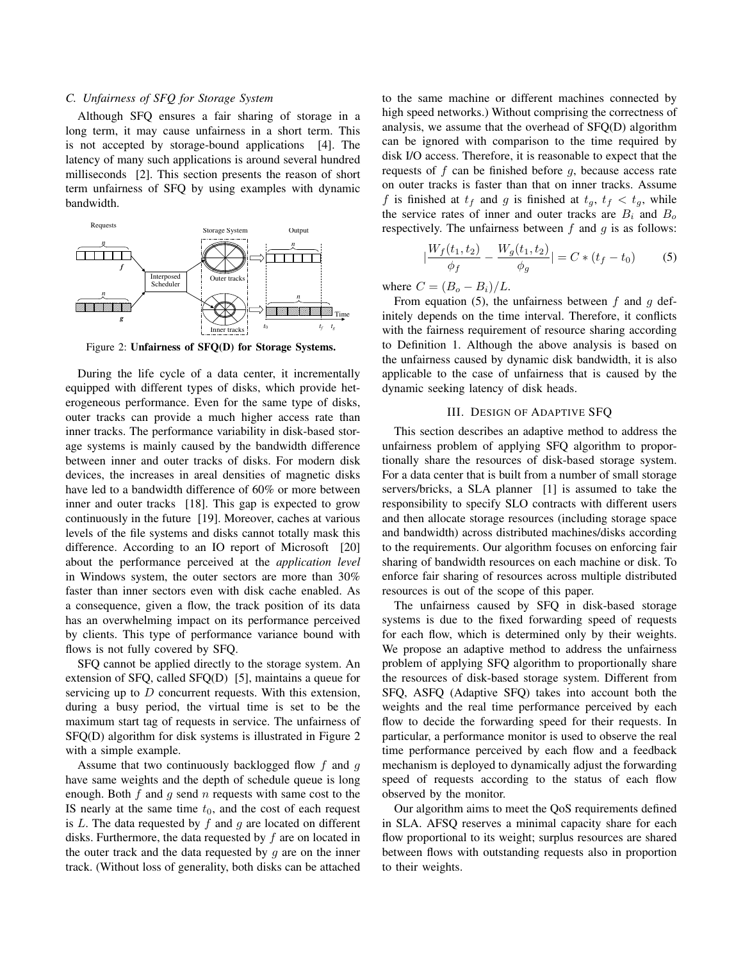# *C. Unfairness of SFQ for Storage System*

Although SFQ ensures a fair sharing of storage in a long term, it may cause unfairness in a short term. This is not accepted by storage-bound applications [4]. The latency of many such applications is around several hundred milliseconds [2]. This section presents the reason of short term unfairness of SFQ by using examples with dynamic bandwidth.



Figure 2: Unfairness of SFQ(D) for Storage Systems.

During the life cycle of a data center, it incrementally equipped with different types of disks, which provide heterogeneous performance. Even for the same type of disks, outer tracks can provide a much higher access rate than inner tracks. The performance variability in disk-based storage systems is mainly caused by the bandwidth difference between inner and outer tracks of disks. For modern disk devices, the increases in areal densities of magnetic disks have led to a bandwidth difference of 60% or more between inner and outer tracks [18]. This gap is expected to grow continuously in the future [19]. Moreover, caches at various levels of the file systems and disks cannot totally mask this difference. According to an IO report of Microsoft [20] about the performance perceived at the *application level* in Windows system, the outer sectors are more than 30% faster than inner sectors even with disk cache enabled. As a consequence, given a flow, the track position of its data has an overwhelming impact on its performance perceived by clients. This type of performance variance bound with flows is not fully covered by SFQ.

SFQ cannot be applied directly to the storage system. An extension of SFQ, called SFQ(D) [5], maintains a queue for servicing up to  $D$  concurrent requests. With this extension, during a busy period, the virtual time is set to be the maximum start tag of requests in service. The unfairness of SFQ(D) algorithm for disk systems is illustrated in Figure 2 with a simple example.

Assume that two continuously backlogged flow f and g have same weights and the depth of schedule queue is long enough. Both  $f$  and  $g$  send  $n$  requests with same cost to the IS nearly at the same time  $t_0$ , and the cost of each request is  $L$ . The data requested by  $f$  and  $g$  are located on different disks. Furthermore, the data requested by  $f$  are on located in the outer track and the data requested by  $g$  are on the inner track. (Without loss of generality, both disks can be attached to the same machine or different machines connected by high speed networks.) Without comprising the correctness of analysis, we assume that the overhead of SFQ(D) algorithm can be ignored with comparison to the time required by disk I/O access. Therefore, it is reasonable to expect that the requests of  $f$  can be finished before  $g$ , because access rate on outer tracks is faster than that on inner tracks. Assume f is finished at  $t_f$  and g is finished at  $t_g$ ,  $t_f < t_g$ , while the service rates of inner and outer tracks are  $B_i$  and  $B_o$ respectively. The unfairness between  $f$  and  $q$  is as follows:

$$
\left|\frac{W_f(t_1, t_2)}{\phi_f} - \frac{W_g(t_1, t_2)}{\phi_g}\right| = C * (t_f - t_0)
$$
 (5)

where  $C = (B_o - B_i)/L$ .

From equation (5), the unfairness between  $f$  and  $g$  definitely depends on the time interval. Therefore, it conflicts with the fairness requirement of resource sharing according to Definition 1. Although the above analysis is based on the unfairness caused by dynamic disk bandwidth, it is also applicable to the case of unfairness that is caused by the dynamic seeking latency of disk heads.

# III. DESIGN OF ADAPTIVE SFQ

This section describes an adaptive method to address the unfairness problem of applying SFQ algorithm to proportionally share the resources of disk-based storage system. For a data center that is built from a number of small storage servers/bricks, a SLA planner [1] is assumed to take the responsibility to specify SLO contracts with different users and then allocate storage resources (including storage space and bandwidth) across distributed machines/disks according to the requirements. Our algorithm focuses on enforcing fair sharing of bandwidth resources on each machine or disk. To enforce fair sharing of resources across multiple distributed resources is out of the scope of this paper.

The unfairness caused by SFQ in disk-based storage systems is due to the fixed forwarding speed of requests for each flow, which is determined only by their weights. We propose an adaptive method to address the unfairness problem of applying SFQ algorithm to proportionally share the resources of disk-based storage system. Different from SFQ, ASFQ (Adaptive SFQ) takes into account both the weights and the real time performance perceived by each flow to decide the forwarding speed for their requests. In particular, a performance monitor is used to observe the real time performance perceived by each flow and a feedback mechanism is deployed to dynamically adjust the forwarding speed of requests according to the status of each flow observed by the monitor.

Our algorithm aims to meet the QoS requirements defined in SLA. AFSQ reserves a minimal capacity share for each flow proportional to its weight; surplus resources are shared between flows with outstanding requests also in proportion to their weights.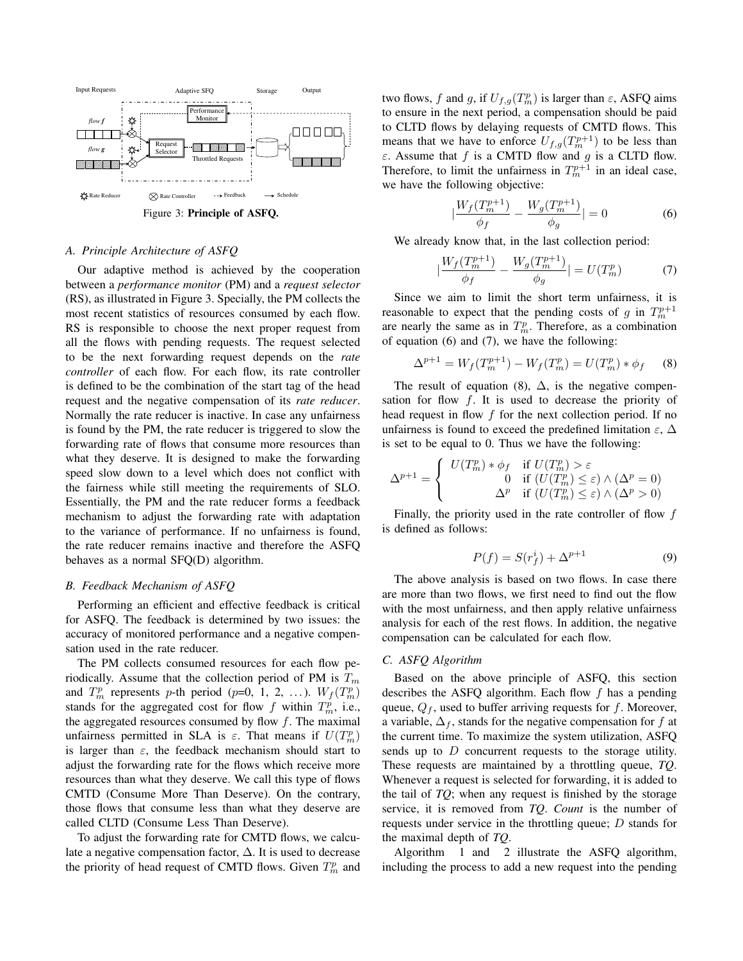

# *A. Principle Architecture of ASFQ*

Our adaptive method is achieved by the cooperation between a *performance monitor* (PM) and a *request selector* (RS), as illustrated in Figure 3. Specially, the PM collects the most recent statistics of resources consumed by each flow. RS is responsible to choose the next proper request from all the flows with pending requests. The request selected to be the next forwarding request depends on the *rate controller* of each flow. For each flow, its rate controller is defined to be the combination of the start tag of the head request and the negative compensation of its *rate reducer*. Normally the rate reducer is inactive. In case any unfairness is found by the PM, the rate reducer is triggered to slow the forwarding rate of flows that consume more resources than what they deserve. It is designed to make the forwarding speed slow down to a level which does not conflict with the fairness while still meeting the requirements of SLO. Essentially, the PM and the rate reducer forms a feedback mechanism to adjust the forwarding rate with adaptation to the variance of performance. If no unfairness is found, the rate reducer remains inactive and therefore the ASFQ behaves as a normal SFQ(D) algorithm.

### *B. Feedback Mechanism of ASFQ*

Performing an efficient and effective feedback is critical for ASFQ. The feedback is determined by two issues: the accuracy of monitored performance and a negative compensation used in the rate reducer.

The PM collects consumed resources for each flow periodically. Assume that the collection period of PM is  $T_m$ and  $T_m^p$  represents p-th period (p=0, 1, 2, ...).  $W_f(T_m^p)$ stands for the aggregated cost for flow f within  $T_m^p$ , i.e., the aggregated resources consumed by flow  $f$ . The maximal unfairness permitted in SLA is  $\varepsilon$ . That means if  $U(T_m^p)$ is larger than  $\varepsilon$ , the feedback mechanism should start to adjust the forwarding rate for the flows which receive more resources than what they deserve. We call this type of flows CMTD (Consume More Than Deserve). On the contrary, those flows that consume less than what they deserve are called CLTD (Consume Less Than Deserve).

To adjust the forwarding rate for CMTD flows, we calculate a negative compensation factor,  $\Delta$ . It is used to decrease the priority of head request of CMTD flows. Given  $T_m^p$  and

two flows, f and g, if  $U_{f,g}(T_m^p)$  is larger than  $\varepsilon$ , ASFQ aims to ensure in the next period, a compensation should be paid to CLTD flows by delaying requests of CMTD flows. This means that we have to enforce  $U_{f,g}(T_m^{p+1})$  to be less than  $\varepsilon$ . Assume that f is a CMTD flow and g is a CLTD flow. Therefore, to limit the unfairness in  $T_m^{p+1}$  in an ideal case, we have the following objective:

$$
\left| \frac{W_f(T_m^{p+1})}{\phi_f} - \frac{W_g(T_m^{p+1})}{\phi_g} \right| = 0 \tag{6}
$$

We already know that, in the last collection period:

$$
\left| \frac{W_f(T_m^{p+1})}{\phi_f} - \frac{W_g(T_m^{p+1})}{\phi_g} \right| = U(T_m^p) \tag{7}
$$

Since we aim to limit the short term unfairness, it is reasonable to expect that the pending costs of g in  $T_m^{p+1}$ are nearly the same as in  $T_m^p$ . Therefore, as a combination of equation (6) and (7), we have the following:

$$
\Delta^{p+1} = W_f(T_m^{p+1}) - W_f(T_m^p) = U(T_m^p) * \phi_f \tag{8}
$$

The result of equation (8),  $\Delta$ , is the negative compensation for flow  $f$ . It is used to decrease the priority of head request in flow  $f$  for the next collection period. If no unfairness is found to exceed the predefined limitation  $\varepsilon$ .  $\Delta$ is set to be equal to 0. Thus we have the following:

$$
\Delta^{p+1} = \begin{cases} U(T_m^p) * \phi_f & \text{if } U(T_m^p) > \varepsilon \\ 0 & \text{if } (U(T_m^p) \le \varepsilon) \wedge (\Delta^p = 0) \\ \Delta^p & \text{if } (U(T_m^p) \le \varepsilon) \wedge (\Delta^p > 0) \end{cases}
$$

Finally, the priority used in the rate controller of flow  $f$ is defined as follows:

$$
P(f) = S(r_f^i) + \Delta^{p+1} \tag{9}
$$

The above analysis is based on two flows. In case there are more than two flows, we first need to find out the flow with the most unfairness, and then apply relative unfairness analysis for each of the rest flows. In addition, the negative compensation can be calculated for each flow.

# *C. ASFQ Algorithm*

Based on the above principle of ASFQ, this section describes the ASFQ algorithm. Each flow  $f$  has a pending queue,  $Q_f$ , used to buffer arriving requests for f. Moreover, a variable,  $\Delta_f$ , stands for the negative compensation for f at the current time. To maximize the system utilization, ASFQ sends up to D concurrent requests to the storage utility. These requests are maintained by a throttling queue, *TQ*. Whenever a request is selected for forwarding, it is added to the tail of *TQ*; when any request is finished by the storage service, it is removed from *TQ*. *Count* is the number of requests under service in the throttling queue; D stands for the maximal depth of *TQ*.

Algorithm 1 and 2 illustrate the ASFQ algorithm, including the process to add a new request into the pending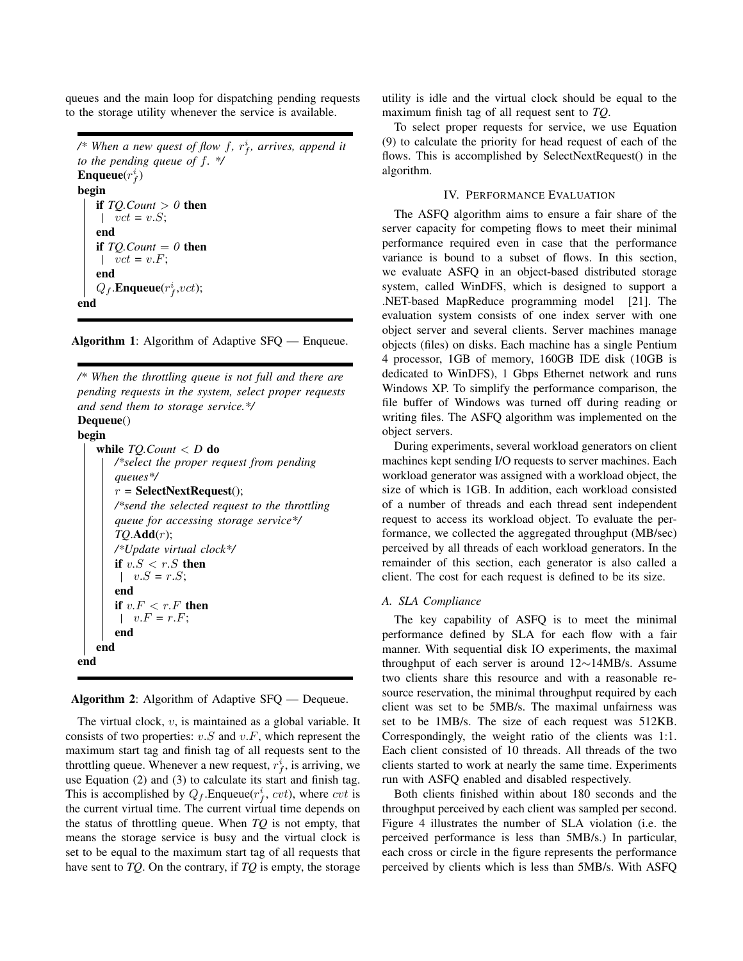queues and the main loop for dispatching pending requests to the storage utility whenever the service is available.

```
\mathscr{C}^* When a new quest of flow f, r_f^i, arrives, append it
to the pending queue of f. */
Enqueue(r_f^i)begin
    if TQ.Count > 0 then
    vct = v.S;end
    if TOCount = 0 then
    \vert \quad vct = v.F;end
    Q_f.Enqueue(r_f^i,vct);end
```
Algorithm 1: Algorithm of Adaptive SFQ — Enqueue.

*/\* When the throttling queue is not full and there are pending requests in the system, select proper requests and send them to storage service.\*/* Dequeue() begin while *TQ.Count* < *D* do */\*select the proper request from pending queues\*/*  $r =$ **SelectNextRequest**(); */\*send the selected request to the throttling queue for accessing storage service\*/ TQ*.Add(r); */\*Update virtual clock\*/* if  $v.S < r.S$  then |  $v.S = r.S;$ end if  $v.F < r.F$  then  $v.F = r.F;$ end end end

Algorithm 2: Algorithm of Adaptive SFQ — Dequeue.

The virtual clock, v, is maintained as a global variable. It consists of two properties:  $v.S$  and  $v.F$ , which represent the maximum start tag and finish tag of all requests sent to the throttling queue. Whenever a new request,  $r_f^i$ , is arriving, we use Equation (2) and (3) to calculate its start and finish tag. This is accomplished by  $Q_f$ . Enqueue $(r_f^i, cvt)$ , where  $cvt$  is the current virtual time. The current virtual time depends on the status of throttling queue. When *TQ* is not empty, that means the storage service is busy and the virtual clock is set to be equal to the maximum start tag of all requests that have sent to *TQ*. On the contrary, if *TQ* is empty, the storage utility is idle and the virtual clock should be equal to the maximum finish tag of all request sent to *TQ*.

To select proper requests for service, we use Equation (9) to calculate the priority for head request of each of the flows. This is accomplished by SelectNextRequest() in the algorithm.

### IV. PERFORMANCE EVALUATION

The ASFQ algorithm aims to ensure a fair share of the server capacity for competing flows to meet their minimal performance required even in case that the performance variance is bound to a subset of flows. In this section, we evaluate ASFQ in an object-based distributed storage system, called WinDFS, which is designed to support a .NET-based MapReduce programming model [21]. The evaluation system consists of one index server with one object server and several clients. Server machines manage objects (files) on disks. Each machine has a single Pentium 4 processor, 1GB of memory, 160GB IDE disk (10GB is dedicated to WinDFS), 1 Gbps Ethernet network and runs Windows XP. To simplify the performance comparison, the file buffer of Windows was turned off during reading or writing files. The ASFQ algorithm was implemented on the object servers.

During experiments, several workload generators on client machines kept sending I/O requests to server machines. Each workload generator was assigned with a workload object, the size of which is 1GB. In addition, each workload consisted of a number of threads and each thread sent independent request to access its workload object. To evaluate the performance, we collected the aggregated throughput (MB/sec) perceived by all threads of each workload generators. In the remainder of this section, each generator is also called a client. The cost for each request is defined to be its size.

#### *A. SLA Compliance*

The key capability of ASFQ is to meet the minimal performance defined by SLA for each flow with a fair manner. With sequential disk IO experiments, the maximal throughput of each server is around 12∼14MB/s. Assume two clients share this resource and with a reasonable resource reservation, the minimal throughput required by each client was set to be 5MB/s. The maximal unfairness was set to be 1MB/s. The size of each request was 512KB. Correspondingly, the weight ratio of the clients was 1:1. Each client consisted of 10 threads. All threads of the two clients started to work at nearly the same time. Experiments run with ASFQ enabled and disabled respectively.

Both clients finished within about 180 seconds and the throughput perceived by each client was sampled per second. Figure 4 illustrates the number of SLA violation (i.e. the perceived performance is less than 5MB/s.) In particular, each cross or circle in the figure represents the performance perceived by clients which is less than 5MB/s. With ASFQ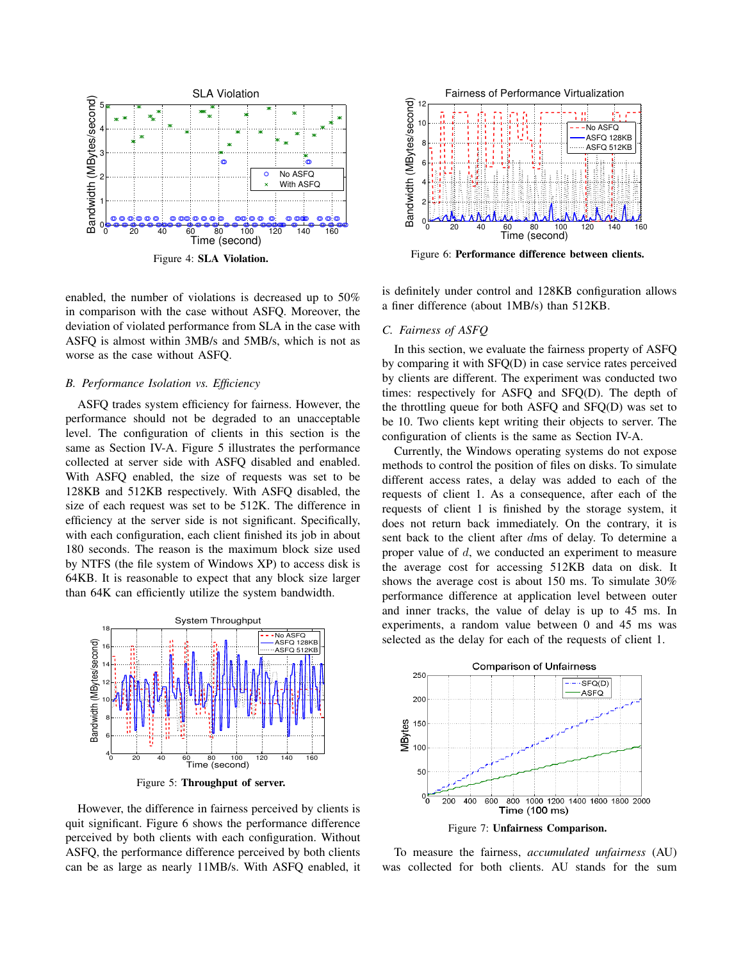

enabled, the number of violations is decreased up to 50% in comparison with the case without ASFQ. Moreover, the deviation of violated performance from SLA in the case with ASFQ is almost within 3MB/s and 5MB/s, which is not as worse as the case without ASFQ.

#### *B. Performance Isolation vs. Efficiency*

ASFQ trades system efficiency for fairness. However, the performance should not be degraded to an unacceptable level. The configuration of clients in this section is the same as Section IV-A. Figure 5 illustrates the performance collected at server side with ASFQ disabled and enabled. With ASFQ enabled, the size of requests was set to be 128KB and 512KB respectively. With ASFQ disabled, the size of each request was set to be 512K. The difference in efficiency at the server side is not significant. Specifically, with each configuration, each client finished its job in about 180 seconds. The reason is the maximum block size used by NTFS (the file system of Windows XP) to access disk is 64KB. It is reasonable to expect that any block size larger than 64K can efficiently utilize the system bandwidth.



Figure 5: Throughput of server.

However, the difference in fairness perceived by clients is quit significant. Figure 6 shows the performance difference perceived by both clients with each configuration. Without ASFQ, the performance difference perceived by both clients can be as large as nearly 11MB/s. With ASFQ enabled, it



Figure 6: Performance difference between clients.

is definitely under control and 128KB configuration allows a finer difference (about 1MB/s) than 512KB.

# *C. Fairness of ASFQ*

In this section, we evaluate the fairness property of ASFQ by comparing it with SFQ(D) in case service rates perceived by clients are different. The experiment was conducted two times: respectively for ASFQ and SFQ(D). The depth of the throttling queue for both ASFQ and SFQ(D) was set to be 10. Two clients kept writing their objects to server. The configuration of clients is the same as Section IV-A.

Currently, the Windows operating systems do not expose methods to control the position of files on disks. To simulate different access rates, a delay was added to each of the requests of client 1. As a consequence, after each of the requests of client 1 is finished by the storage system, it does not return back immediately. On the contrary, it is sent back to the client after dms of delay. To determine a proper value of d, we conducted an experiment to measure the average cost for accessing 512KB data on disk. It shows the average cost is about 150 ms. To simulate 30% performance difference at application level between outer and inner tracks, the value of delay is up to 45 ms. In experiments, a random value between 0 and 45 ms was selected as the delay for each of the requests of client 1.



To measure the fairness, *accumulated unfairness* (AU) was collected for both clients. AU stands for the sum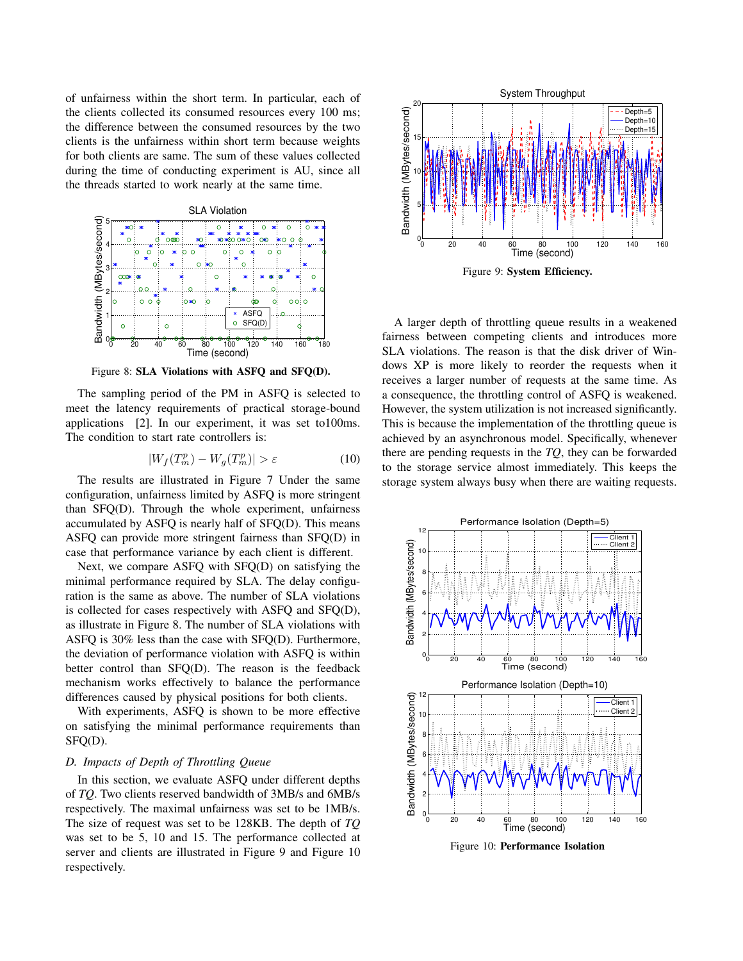of unfairness within the short term. In particular, each of the clients collected its consumed resources every 100 ms; the difference between the consumed resources by the two clients is the unfairness within short term because weights for both clients are same. The sum of these values collected during the time of conducting experiment is AU, since all the threads started to work nearly at the same time.



Figure 8: SLA Violations with ASFQ and SFQ(D).

The sampling period of the PM in ASFQ is selected to meet the latency requirements of practical storage-bound applications [2]. In our experiment, it was set to100ms. The condition to start rate controllers is:

$$
|W_f(T_m^p) - W_g(T_m^p)| > \varepsilon \tag{10}
$$

The results are illustrated in Figure 7 Under the same configuration, unfairness limited by ASFQ is more stringent than SFQ(D). Through the whole experiment, unfairness accumulated by ASFQ is nearly half of SFQ(D). This means ASFQ can provide more stringent fairness than SFQ(D) in case that performance variance by each client is different.

Next, we compare ASFQ with SFQ(D) on satisfying the minimal performance required by SLA. The delay configuration is the same as above. The number of SLA violations is collected for cases respectively with ASFQ and SFQ(D), as illustrate in Figure 8. The number of SLA violations with ASFQ is 30% less than the case with SFQ(D). Furthermore, the deviation of performance violation with ASFQ is within better control than SFQ(D). The reason is the feedback mechanism works effectively to balance the performance differences caused by physical positions for both clients.

With experiments, ASFQ is shown to be more effective on satisfying the minimal performance requirements than SFQ(D).

# *D. Impacts of Depth of Throttling Queue*

In this section, we evaluate ASFQ under different depths of *TQ*. Two clients reserved bandwidth of 3MB/s and 6MB/s respectively. The maximal unfairness was set to be 1MB/s. The size of request was set to be 128KB. The depth of *TQ* was set to be 5, 10 and 15. The performance collected at server and clients are illustrated in Figure 9 and Figure 10 respectively.



A larger depth of throttling queue results in a weakened fairness between competing clients and introduces more SLA violations. The reason is that the disk driver of Windows XP is more likely to reorder the requests when it receives a larger number of requests at the same time. As a consequence, the throttling control of ASFQ is weakened. However, the system utilization is not increased significantly. This is because the implementation of the throttling queue is achieved by an asynchronous model. Specifically, whenever there are pending requests in the *TQ*, they can be forwarded to the storage service almost immediately. This keeps the storage system always busy when there are waiting requests.



Figure 10: Performance Isolation